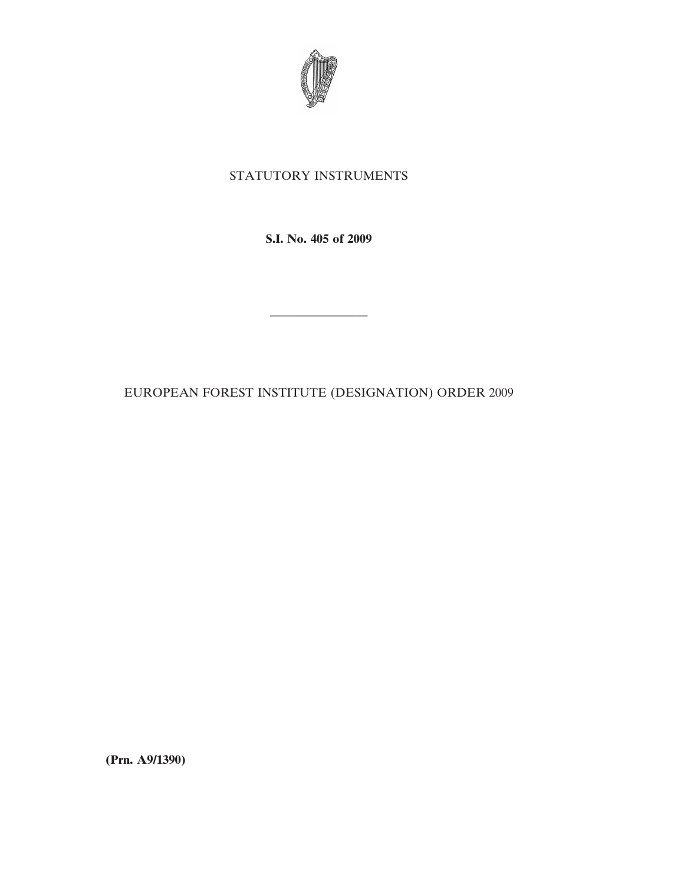

## STATUTORY INSTRUMENTS

**S.I. No. 405 of 2009**

EUROPEAN FOREST INSTITUTE (DESIGNATION) ORDER 2009

————————

**(Prn. A9/1390)**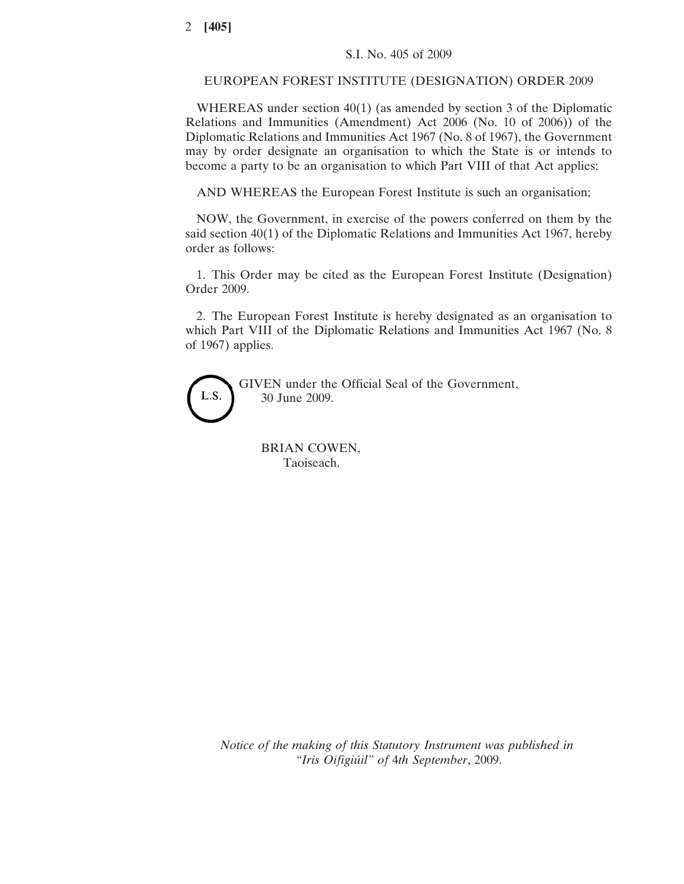## EUROPEAN FOREST INSTITUTE (DESIGNATION) ORDER 2009

WHEREAS under section 40(1) (as amended by section 3 of the Diplomatic Relations and Immunities (Amendment) Act 2006 (No. 10 of 2006)) of the Diplomatic Relations and Immunities Act 1967 (No. 8 of 1967), the Government may by order designate an organisation to which the State is or intends to become a party to be an organisation to which Part VIII of that Act applies;

AND WHEREAS the European Forest Institute is such an organisation;

NOW, the Government, in exercise of the powers conferred on them by the said section 40(1) of the Diplomatic Relations and Immunities Act 1967, hereby order as follows:

1. This Order may be cited as the European Forest Institute (Designation) Order 2009.

2. The European Forest Institute is hereby designated as an organisation to which Part VIII of the Diplomatic Relations and Immunities Act 1967 (No. 8 of 1967) applies.



BRIAN COWEN, Taoiseach.

*Notice of the making of this Statutory Instrument was published in "Iris Oifigiu´il" of* 4*th September*, 2009.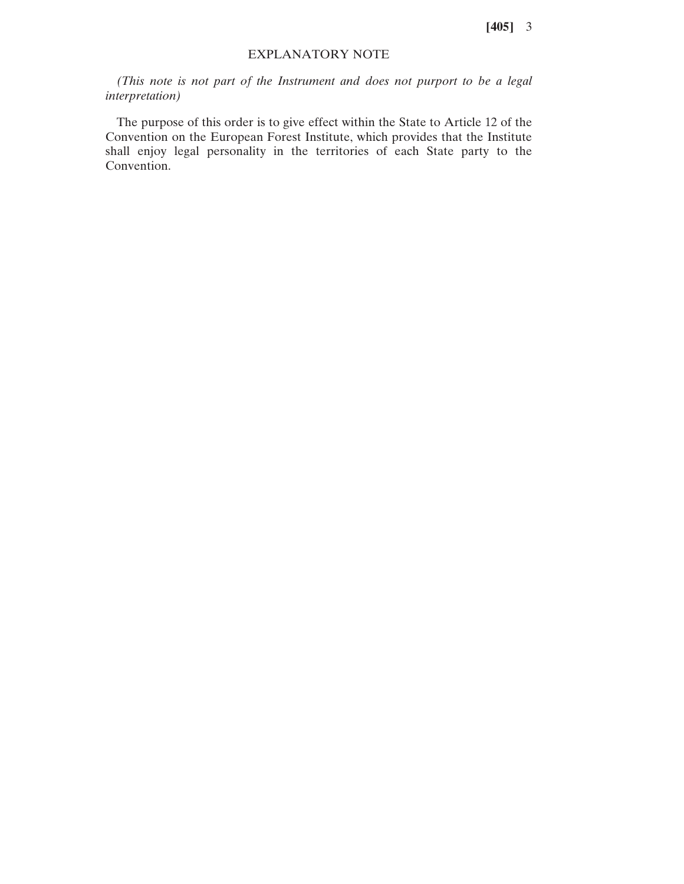**[405]** 3

## EXPLANATORY NOTE

*(This note is not part of the Instrument and does not purport to be a legal interpretation)*

The purpose of this order is to give effect within the State to Article 12 of the Convention on the European Forest Institute, which provides that the Institute shall enjoy legal personality in the territories of each State party to the Convention.